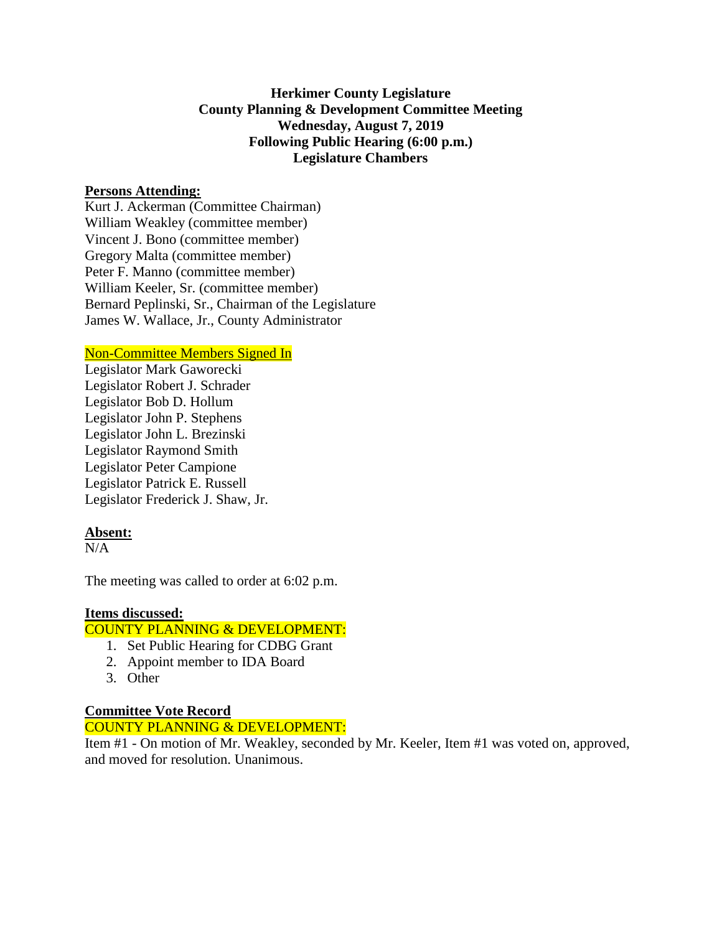## **Herkimer County Legislature County Planning & Development Committee Meeting Wednesday, August 7, 2019 Following Public Hearing (6:00 p.m.) Legislature Chambers**

## **Persons Attending:**

Kurt J. Ackerman (Committee Chairman) William Weakley (committee member) Vincent J. Bono (committee member) Gregory Malta (committee member) Peter F. Manno (committee member) William Keeler, Sr. (committee member) Bernard Peplinski, Sr., Chairman of the Legislature James W. Wallace, Jr., County Administrator

## Non-Committee Members Signed In

Legislator Mark Gaworecki Legislator Robert J. Schrader Legislator Bob D. Hollum Legislator John P. Stephens Legislator John L. Brezinski Legislator Raymond Smith Legislator Peter Campione Legislator Patrick E. Russell Legislator Frederick J. Shaw, Jr.

# **Absent:**

 $N/A$ 

The meeting was called to order at 6:02 p.m.

### **Items discussed:**

### COUNTY PLANNING & DEVELOPMENT:

- 1. Set Public Hearing for CDBG Grant
- 2. Appoint member to IDA Board
- 3. Other

### **Committee Vote Record**

## COUNTY PLANNING & DEVELOPMENT:

Item #1 - On motion of Mr. Weakley, seconded by Mr. Keeler, Item #1 was voted on, approved, and moved for resolution. Unanimous.